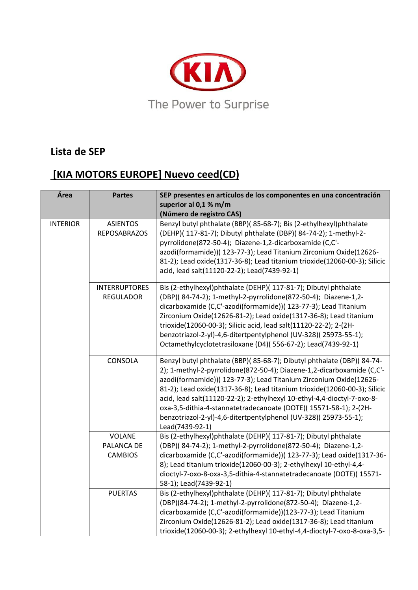

## **Lista de SEP**

## **[KIA MOTORS EUROPE] Nuevo ceed(CD)**

| Área            | <b>Partes</b>                                 | SEP presentes en artículos de los componentes en una concentración<br>superior al 0,1 % m/m<br>(Número de registro CAS)                                                                                                                                                                                                                                                                                                                                                                                                                 |
|-----------------|-----------------------------------------------|-----------------------------------------------------------------------------------------------------------------------------------------------------------------------------------------------------------------------------------------------------------------------------------------------------------------------------------------------------------------------------------------------------------------------------------------------------------------------------------------------------------------------------------------|
| <b>INTERIOR</b> | <b>ASIENTOS</b><br><b>REPOSABRAZOS</b>        | Benzyl butyl phthalate (BBP)(85-68-7); Bis (2-ethylhexyl)phthalate<br>(DEHP)( 117-81-7); Dibutyl phthalate (DBP)( 84-74-2); 1-methyl-2-<br>pyrrolidone(872-50-4); Diazene-1,2-dicarboxamide (C,C'-<br>azodi(formamide))( 123-77-3); Lead Titanium Zirconium Oxide(12626-<br>81-2); Lead oxide(1317-36-8); Lead titanium trioxide(12060-00-3); Silicic<br>acid, lead salt(11120-22-2); Lead(7439-92-1)                                                                                                                                   |
|                 | <b>INTERRUPTORES</b><br><b>REGULADOR</b>      | Bis (2-ethylhexyl)phthalate (DEHP)( 117-81-7); Dibutyl phthalate<br>(DBP)(84-74-2); 1-methyl-2-pyrrolidone(872-50-4); Diazene-1,2-<br>dicarboxamide (C,C'-azodi(formamide))( 123-77-3); Lead Titanium<br>Zirconium Oxide(12626-81-2); Lead oxide(1317-36-8); Lead titanium<br>trioxide(12060-00-3); Silicic acid, lead salt(11120-22-2); 2-(2H-<br>benzotriazol-2-yl)-4,6-ditertpentylphenol (UV-328)(25973-55-1);<br>Octamethylcyclotetrasiloxane (D4)(556-67-2); Lead(7439-92-1)                                                      |
|                 | CONSOLA                                       | Benzyl butyl phthalate (BBP)(85-68-7); Dibutyl phthalate (DBP)(84-74-<br>2); 1-methyl-2-pyrrolidone(872-50-4); Diazene-1,2-dicarboxamide (C,C'-<br>azodi(formamide))( 123-77-3); Lead Titanium Zirconium Oxide(12626-<br>81-2); Lead oxide(1317-36-8); Lead titanium trioxide(12060-00-3); Silicic<br>acid, lead salt(11120-22-2); 2-ethylhexyl 10-ethyl-4,4-dioctyl-7-oxo-8-<br>oxa-3,5-dithia-4-stannatetradecanoate (DOTE)(15571-58-1); 2-(2H-<br>benzotriazol-2-yl)-4,6-ditertpentylphenol (UV-328)(25973-55-1);<br>Lead(7439-92-1) |
|                 | <b>VOLANE</b><br>PALANCA DE<br><b>CAMBIOS</b> | Bis (2-ethylhexyl)phthalate (DEHP)( 117-81-7); Dibutyl phthalate<br>(DBP)(84-74-2); 1-methyl-2-pyrrolidone(872-50-4); Diazene-1,2-<br>dicarboxamide (C,C'-azodi(formamide))( 123-77-3); Lead oxide(1317-36-<br>8); Lead titanium trioxide(12060-00-3); 2-ethylhexyl 10-ethyl-4,4-<br>dioctyl-7-oxo-8-oxa-3,5-dithia-4-stannatetradecanoate (DOTE)(15571-<br>58-1); Lead(7439-92-1)                                                                                                                                                      |
|                 | <b>PUERTAS</b>                                | Bis (2-ethylhexyl)phthalate (DEHP)( 117-81-7); Dibutyl phthalate<br>(DBP)(84-74-2); 1-methyl-2-pyrrolidone(872-50-4); Diazene-1,2-<br>dicarboxamide (C,C'-azodi(formamide))(123-77-3); Lead Titanium<br>Zirconium Oxide(12626-81-2); Lead oxide(1317-36-8); Lead titanium<br>trioxide(12060-00-3); 2-ethylhexyl 10-ethyl-4,4-dioctyl-7-oxo-8-oxa-3,5-                                                                                                                                                                                   |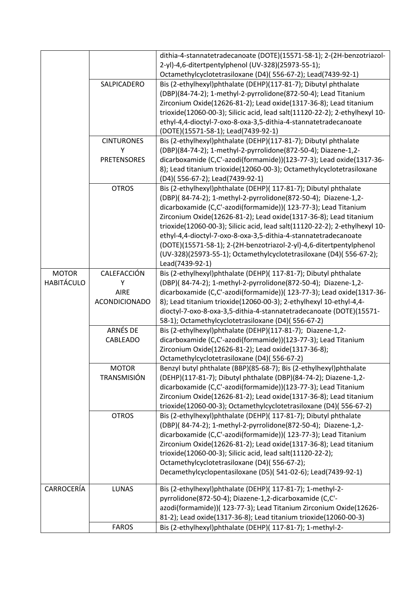|                   |                                    | dithia-4-stannatetradecanoate (DOTE)(15571-58-1); 2-(2H-benzotriazol-<br>2-yl)-4,6-ditertpentylphenol (UV-328)(25973-55-1);<br>Octamethylcyclotetrasiloxane (D4)(556-67-2); Lead(7439-92-1)                                                                                                                                                               |
|-------------------|------------------------------------|-----------------------------------------------------------------------------------------------------------------------------------------------------------------------------------------------------------------------------------------------------------------------------------------------------------------------------------------------------------|
|                   | SALPICADERO                        | Bis (2-ethylhexyl)phthalate (DEHP)(117-81-7); Dibutyl phthalate<br>(DBP)(84-74-2); 1-methyl-2-pyrrolidone(872-50-4); Lead Titanium<br>Zirconium Oxide(12626-81-2); Lead oxide(1317-36-8); Lead titanium<br>trioxide(12060-00-3); Silicic acid, lead salt(11120-22-2); 2-ethylhexyl 10-<br>ethyl-4,4-dioctyl-7-oxo-8-oxa-3,5-dithia-4-stannatetradecanoate |
|                   |                                    | (DOTE)(15571-58-1); Lead(7439-92-1)                                                                                                                                                                                                                                                                                                                       |
|                   | <b>CINTURONES</b>                  | Bis (2-ethylhexyl)phthalate (DEHP)(117-81-7); Dibutyl phthalate                                                                                                                                                                                                                                                                                           |
|                   | Υ<br><b>PRETENSORES</b>            | (DBP)(84-74-2); 1-methyl-2-pyrrolidone(872-50-4); Diazene-1,2-<br>dicarboxamide (C,C'-azodi(formamide))(123-77-3); Lead oxide(1317-36-                                                                                                                                                                                                                    |
|                   |                                    | 8); Lead titanium trioxide(12060-00-3); Octamethylcyclotetrasiloxane                                                                                                                                                                                                                                                                                      |
|                   |                                    | (D4)(556-67-2); Lead(7439-92-1)                                                                                                                                                                                                                                                                                                                           |
|                   | <b>OTROS</b>                       | Bis (2-ethylhexyl)phthalate (DEHP)( 117-81-7); Dibutyl phthalate                                                                                                                                                                                                                                                                                          |
|                   |                                    | (DBP)(84-74-2); 1-methyl-2-pyrrolidone(872-50-4); Diazene-1,2-                                                                                                                                                                                                                                                                                            |
|                   |                                    | dicarboxamide (C,C'-azodi(formamide))( 123-77-3); Lead Titanium<br>Zirconium Oxide(12626-81-2); Lead oxide(1317-36-8); Lead titanium                                                                                                                                                                                                                      |
|                   |                                    | trioxide(12060-00-3); Silicic acid, lead salt(11120-22-2); 2-ethylhexyl 10-                                                                                                                                                                                                                                                                               |
|                   |                                    | ethyl-4,4-dioctyl-7-oxo-8-oxa-3,5-dithia-4-stannatetradecanoate                                                                                                                                                                                                                                                                                           |
|                   |                                    | (DOTE)(15571-58-1); 2-(2H-benzotriazol-2-yl)-4,6-ditertpentylphenol<br>(UV-328)(25973-55-1); Octamethylcyclotetrasiloxane (D4)(556-67-2);<br>Lead(7439-92-1)                                                                                                                                                                                              |
| <b>MOTOR</b>      | CALEFACCIÓN                        | Bis (2-ethylhexyl)phthalate (DEHP)( 117-81-7); Dibutyl phthalate                                                                                                                                                                                                                                                                                          |
| <b>HABITÁCULO</b> | Υ                                  | (DBP)(84-74-2); 1-methyl-2-pyrrolidone(872-50-4); Diazene-1,2-                                                                                                                                                                                                                                                                                            |
|                   | <b>AIRE</b>                        | dicarboxamide (C,C'-azodi(formamide))( 123-77-3); Lead oxide(1317-36-                                                                                                                                                                                                                                                                                     |
|                   | ACONDICIONADO                      | 8); Lead titanium trioxide(12060-00-3); 2-ethylhexyl 10-ethyl-4,4-<br>dioctyl-7-oxo-8-oxa-3,5-dithia-4-stannatetradecanoate (DOTE)(15571-                                                                                                                                                                                                                 |
|                   |                                    | 58-1); Octamethylcyclotetrasiloxane (D4)(556-67-2)                                                                                                                                                                                                                                                                                                        |
|                   | ARNÉS DE                           | Bis (2-ethylhexyl)phthalate (DEHP)(117-81-7); Diazene-1,2-                                                                                                                                                                                                                                                                                                |
|                   | CABLEADO                           | dicarboxamide (C,C'-azodi(formamide))(123-77-3); Lead Titanium                                                                                                                                                                                                                                                                                            |
|                   |                                    | Zirconium Oxide(12626-81-2); Lead oxide(1317-36-8);                                                                                                                                                                                                                                                                                                       |
|                   |                                    | Octamethylcyclotetrasiloxane (D4)(556-67-2)                                                                                                                                                                                                                                                                                                               |
|                   | <b>MOTOR</b><br><b>TRANSMISIÓN</b> | Benzyl butyl phthalate (BBP)(85-68-7); Bis (2-ethylhexyl)phthalate<br>(DEHP)(117-81-7); Dibutyl phthalate (DBP)(84-74-2); Diazene-1,2-                                                                                                                                                                                                                    |
|                   |                                    | dicarboxamide (C,C'-azodi(formamide))(123-77-3); Lead Titanium                                                                                                                                                                                                                                                                                            |
|                   |                                    | Zirconium Oxide(12626-81-2); Lead oxide(1317-36-8); Lead titanium                                                                                                                                                                                                                                                                                         |
|                   |                                    | trioxide(12060-00-3); Octamethylcyclotetrasiloxane (D4)(556-67-2)                                                                                                                                                                                                                                                                                         |
|                   | <b>OTROS</b>                       | Bis (2-ethylhexyl)phthalate (DEHP)( 117-81-7); Dibutyl phthalate                                                                                                                                                                                                                                                                                          |
|                   |                                    | (DBP)(84-74-2); 1-methyl-2-pyrrolidone(872-50-4); Diazene-1,2-                                                                                                                                                                                                                                                                                            |
|                   |                                    | dicarboxamide (C,C'-azodi(formamide))( 123-77-3); Lead Titanium<br>Zirconium Oxide(12626-81-2); Lead oxide(1317-36-8); Lead titanium                                                                                                                                                                                                                      |
|                   |                                    | trioxide(12060-00-3); Silicic acid, lead salt(11120-22-2);                                                                                                                                                                                                                                                                                                |
|                   |                                    | Octamethylcyclotetrasiloxane (D4)(556-67-2);                                                                                                                                                                                                                                                                                                              |
|                   |                                    | Decamethylcyclopentasiloxane (D5)(541-02-6); Lead(7439-92-1)                                                                                                                                                                                                                                                                                              |
| CARROCERÍA        | <b>LUNAS</b>                       | Bis (2-ethylhexyl)phthalate (DEHP)( 117-81-7); 1-methyl-2-                                                                                                                                                                                                                                                                                                |
|                   |                                    | pyrrolidone(872-50-4); Diazene-1,2-dicarboxamide (C,C'-                                                                                                                                                                                                                                                                                                   |
|                   |                                    | azodi(formamide))( 123-77-3); Lead Titanium Zirconium Oxide(12626-                                                                                                                                                                                                                                                                                        |
|                   | <b>FAROS</b>                       | 81-2); Lead oxide(1317-36-8); Lead titanium trioxide(12060-00-3)<br>Bis (2-ethylhexyl)phthalate (DEHP)( 117-81-7); 1-methyl-2-                                                                                                                                                                                                                            |
|                   |                                    |                                                                                                                                                                                                                                                                                                                                                           |